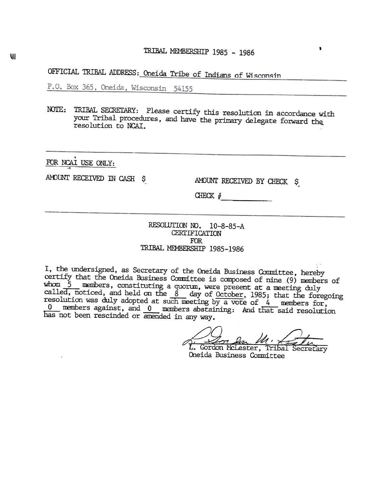OFFICIAL TRIBAL ADDRESS: Oneida Tribe of Indians of Wisconsin

P.O. Box 365, Oneida, Wisconsin 54155

NOTE: TRIBAL SECRETARY: Please certify this resolution in accordance with your Tribal procedures, and have the primary delegate forward the resolution to NCAI.

FOR NCAI USE ONLY:

AMOUNT RECEIVED IN CASH \$

AMOUNT RECEIVED BY CHECK \$

 $\bullet$ 

CHECK  $#$ 

## RESOLUTION NO. 10-8-85-A **CERTIFICATION FOR** TRIBAL MEMBERSHIP 1985-1986

I, the undersigned, as Secretary of the Oneida Business Committee, hereby certify that the Oneida Business Committee is composed of nine (9) members of whom 5 members, constituting a quorum, were present at a meeting duly called, noticed, and held on the 8 day of October, 1985; that the foregoing<br>resolution was duly adopted at such meeting by a vote of 4 members for,  $\frac{0}{0}$  members against, and  $\frac{0}{0}$  members abstaining: And that said resolution has not been rescinded or amended in any way.

In Den M.

L. Gordon McLester, Tribal Secretary Oneida Business Committee